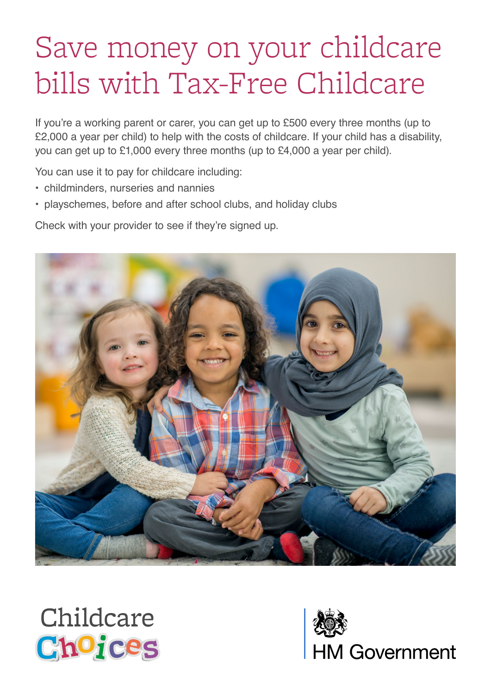# Save money on your childcare bills with Tax-Free Childcare

If you're a working parent or carer, you can get up to £500 every three months (up to £2,000 a year per child) to help with the costs of childcare. If your child has a disability, you can get up to £1,000 every three months (up to £4,000 a year per child).

You can use it to pay for childcare including:

- childminders, nurseries and nannies
- playschemes, before and after school clubs, and holiday clubs

Check with your provider to see if they're signed up.